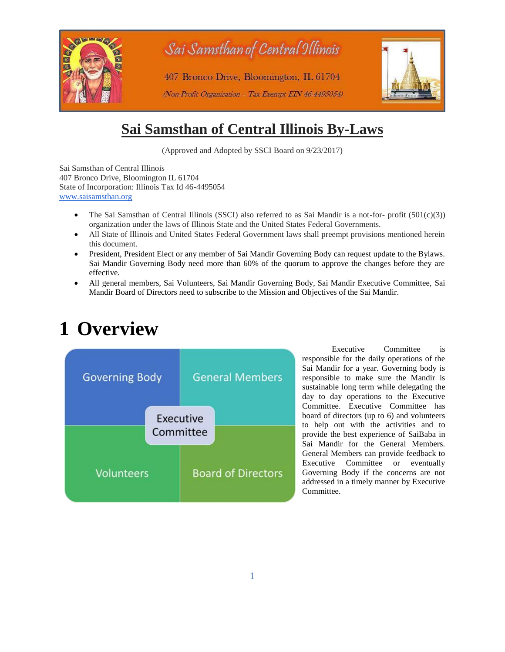

407 Bronco Drive, Bloomington, IL 61704 (Non-Profit Organization - Tax Exempt EIN 46-4495054)



### **Sai Samsthan of Central Illinois By-Laws**

(Approved and Adopted by SSCI Board on 9/23/2017)

Sai Samsthan of Central Illinois 407 Bronco Drive, Bloomington IL 61704 State of Incorporation: Illinois Tax Id 46-4495054 [www.saisamsthan.org](http://www.saisamsthan.org/)

- The Sai Samsthan of Central Illinois (SSCI) also referred to as Sai Mandir is a not-for- profit  $(501(c)(3))$ organization under the laws of Illinois State and the United States Federal Governments.
- All State of Illinois and United States Federal Government laws shall preempt provisions mentioned herein this document.
- President, President Elect or any member of Sai Mandir Governing Body can request update to the Bylaws. Sai Mandir Governing Body need more than 60% of the quorum to approve the changes before they are effective.
- All general members, Sai Volunteers, Sai Mandir Governing Body, Sai Mandir Executive Committee, Sai Mandir Board of Directors need to subscribe to the Mission and Objectives of the Sai Mandir.



# **1 Overview**

Executive Committee is responsible for the daily operations of the Sai Mandir for a year. Governing body is responsible to make sure the Mandir is sustainable long term while delegating the day to day operations to the Executive Committee. Executive Committee has board of directors (up to 6) and volunteers to help out with the activities and to provide the best experience of SaiBaba in Sai Mandir for the General Members. General Members can provide feedback to Executive Committee or eventually Governing Body if the concerns are not addressed in a timely manner by Executive Committee.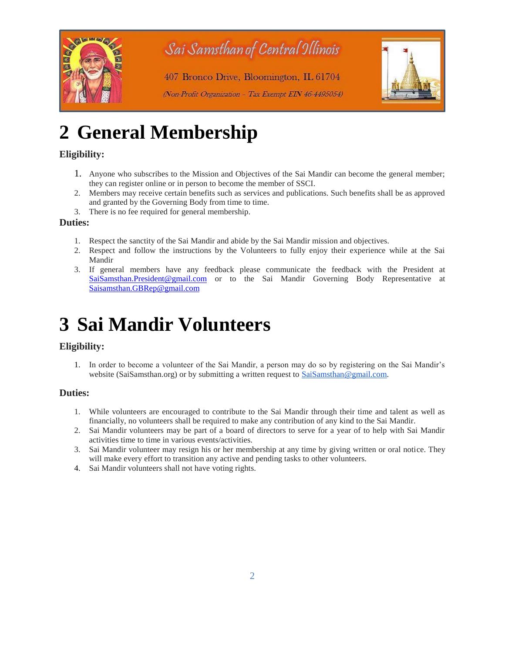

407 Bronco Drive, Bloomington, IL 61704 (Non-Profit Organization - Tax Exempt EIN 46-4495054)



# **2 General Membership**

### **Eligibility:**

- 1. Anyone who subscribes to the Mission and Objectives of the Sai Mandir can become the general member; they can register online or in person to become the member of SSCI.
- 2. Members may receive certain benefits such as services and publications. Such benefits shall be as approved and granted by the Governing Body from time to time.
- 3. There is no fee required for general membership.

#### **Duties:**

- 1. Respect the sanctity of the Sai Mandir and abide by the Sai Mandir mission and objectives.
- 2. Respect and follow the instructions by the Volunteers to fully enjoy their experience while at the Sai Mandir
- 3. If general members have any feedback please communicate the feedback with the President at [SaiSamsthan.President@gmail.com](mailto:SaiSamsthan.President@gmail.com) or to the Sai Mandir Governing Body Representative at [Saisamsthan.GBRep@gmail.com](mailto:Saisamsthan.GBRep@gmail.com)

# **3 Sai Mandir Volunteers**

### **Eligibility:**

1. In order to become a volunteer of the Sai Mandir, a person may do so by registering on the Sai Mandir's website (SaiSamsthan.org) or by submitting a written request t[o SaiSamsthan@gmail.com.](mailto:SaiSamsthan@gmail.com)

- 1. While volunteers are encouraged to contribute to the Sai Mandir through their time and talent as well as financially, no volunteers shall be required to make any contribution of any kind to the Sai Mandir.
- 2. Sai Mandir volunteers may be part of a board of directors to serve for a year of to help with Sai Mandir activities time to time in various events/activities.
- 3. Sai Mandir volunteer may resign his or her membership at any time by giving written or oral notice. They will make every effort to transition any active and pending tasks to other volunteers.
- 4. Sai Mandir volunteers shall not have voting rights.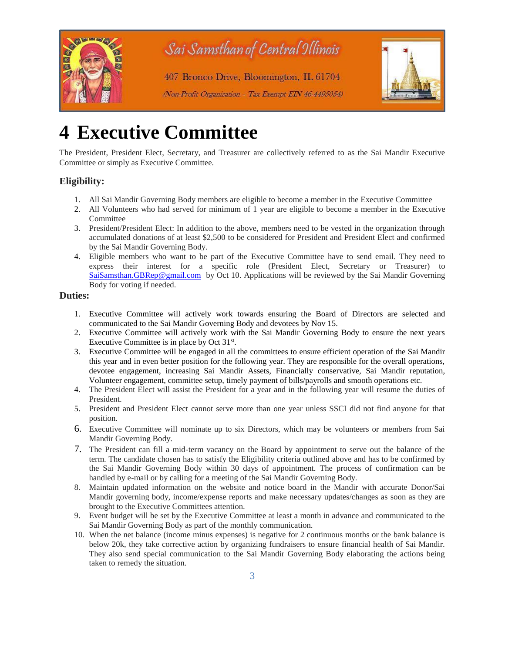

407 Bronco Drive, Bloomington, IL 61704 (Non-Profit Organization - Tax Exempt EIN 46-4495054)



# **4 Executive Committee**

The President, President Elect, Secretary, and Treasurer are collectively referred to as the Sai Mandir Executive Committee or simply as Executive Committee.

### **Eligibility:**

- 1. All Sai Mandir Governing Body members are eligible to become a member in the Executive Committee
- 2. All Volunteers who had served for minimum of 1 year are eligible to become a member in the Executive Committee
- 3. President/President Elect: In addition to the above, members need to be vested in the organization through accumulated donations of at least \$2,500 to be considered for President and President Elect and confirmed by the Sai Mandir Governing Body.
- 4. Eligible members who want to be part of the Executive Committee have to send email. They need to express their interest for a specific role (President Elect, Secretary or Treasurer) to [SaiSamsthan.GBRep@gmail.com](mailto:SaiSamsthan.GBRep@gmail.com) by Oct 10. Applications will be reviewed by the Sai Mandir Governing Body for voting if needed.

- 1. Executive Committee will actively work towards ensuring the Board of Directors are selected and communicated to the Sai Mandir Governing Body and devotees by Nov 15.
- 2. Executive Committee will actively work with the Sai Mandir Governing Body to ensure the next years Executive Committee is in place by Oct  $31<sup>st</sup>$ .
- 3. Executive Committee will be engaged in all the committees to ensure efficient operation of the Sai Mandir this year and in even better position for the following year. They are responsible for the overall operations, devotee engagement, increasing Sai Mandir Assets, Financially conservative, Sai Mandir reputation, Volunteer engagement, committee setup, timely payment of bills/payrolls and smooth operations etc.
- 4. The President Elect will assist the President for a year and in the following year will resume the duties of President.
- 5. President and President Elect cannot serve more than one year unless SSCI did not find anyone for that position.
- 6. Executive Committee will nominate up to six Directors, which may be volunteers or members from Sai Mandir Governing Body.
- 7. The President can fill a mid-term vacancy on the Board by appointment to serve out the balance of the term. The candidate chosen has to satisfy the Eligibility criteria outlined above and has to be confirmed by the Sai Mandir Governing Body within 30 days of appointment. The process of confirmation can be handled by e-mail or by calling for a meeting of the Sai Mandir Governing Body.
- 8. Maintain updated information on the website and notice board in the Mandir with accurate Donor/Sai Mandir governing body, income/expense reports and make necessary updates/changes as soon as they are brought to the Executive Committees attention.
- 9. Event budget will be set by the Executive Committee at least a month in advance and communicated to the Sai Mandir Governing Body as part of the monthly communication.
- 10. When the net balance (income minus expenses) is negative for 2 continuous months or the bank balance is below 20k, they take corrective action by organizing fundraisers to ensure financial health of Sai Mandir. They also send special communication to the Sai Mandir Governing Body elaborating the actions being taken to remedy the situation.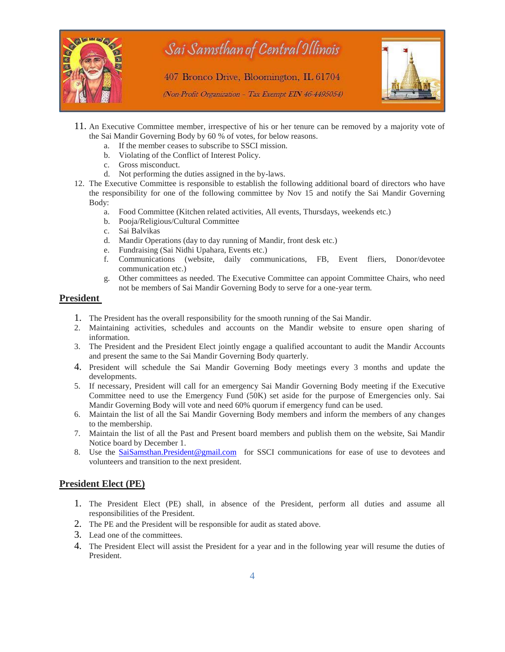

- 11. An Executive Committee member, irrespective of his or her tenure can be removed by a majority vote of the Sai Mandir Governing Body by 60 % of votes, for below reasons.
	- a. If the member ceases to subscribe to SSCI mission.
	- b. Violating of the Conflict of Interest Policy.
	- c. Gross misconduct.
	- d. Not performing the duties assigned in the by-laws.
- 12. The Executive Committee is responsible to establish the following additional board of directors who have the responsibility for one of the following committee by Nov 15 and notify the Sai Mandir Governing Body:
	- a. Food Committee (Kitchen related activities, All events, Thursdays, weekends etc.)
	- b. Pooja/Religious/Cultural Committee
	- c. Sai Balvikas
	- d. Mandir Operations (day to day running of Mandir, front desk etc.)
	- e. Fundraising (Sai Nidhi Upahara, Events etc.)
	- f. Communications (website, daily communications, FB, Event fliers, Donor/devotee communication etc.)
	- g. Other committees as needed. The Executive Committee can appoint Committee Chairs, who need not be members of Sai Mandir Governing Body to serve for a one-year term.

#### **President**

- 1. The President has the overall responsibility for the smooth running of the Sai Mandir.
- 2. Maintaining activities, schedules and accounts on the Mandir website to ensure open sharing of information.
- 3. The President and the President Elect jointly engage a qualified accountant to audit the Mandir Accounts and present the same to the Sai Mandir Governing Body quarterly.
- 4. President will schedule the Sai Mandir Governing Body meetings every 3 months and update the developments.
- 5. If necessary, President will call for an emergency Sai Mandir Governing Body meeting if the Executive Committee need to use the Emergency Fund (50K) set aside for the purpose of Emergencies only. Sai Mandir Governing Body will vote and need 60% quorum if emergency fund can be used.
- 6. Maintain the list of all the Sai Mandir Governing Body members and inform the members of any changes to the membership.
- 7. Maintain the list of all the Past and Present board members and publish them on the website, Sai Mandir Notice board by December 1.
- 8. Use the [SaiSamsthan.President@gmail.com](mailto:SaiSamsthan.President@gmail.com) for SSCI communications for ease of use to devotees and volunteers and transition to the next president.

#### **President Elect (PE)**

- 1. The President Elect (PE) shall, in absence of the President, perform all duties and assume all responsibilities of the President.
- 2. The PE and the President will be responsible for audit as stated above.
- 3. Lead one of the committees.
- 4. The President Elect will assist the President for a year and in the following year will resume the duties of President.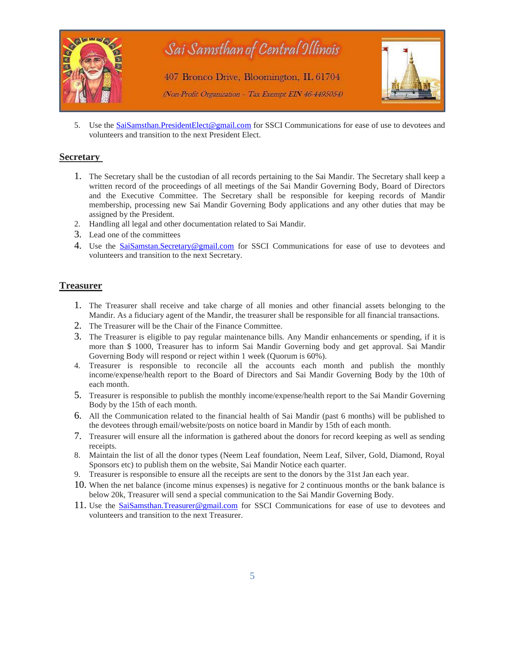

5. Use the [SaiSamsthan.PresidentElect@gmail.com](mailto:SaiSamsthan.PresidentElect@gmail.com) for SSCI Communications for ease of use to devotees and volunteers and transition to the next President Elect.

#### **Secretary**

- 1. The Secretary shall be the custodian of all records pertaining to the Sai Mandir. The Secretary shall keep a written record of the proceedings of all meetings of the Sai Mandir Governing Body, Board of Directors and the Executive Committee. The Secretary shall be responsible for keeping records of Mandir membership, processing new Sai Mandir Governing Body applications and any other duties that may be assigned by the President.
- 2. Handling all legal and other documentation related to Sai Mandir.
- 3. Lead one of the committees
- 4. Use the [SaiSamstan.Secretary@gmail.com](mailto:SaiSamstan.Secretary@gmail.com) for SSCI Communications for ease of use to devotees and volunteers and transition to the next Secretary.

#### **Treasurer**

- 1. The Treasurer shall receive and take charge of all monies and other financial assets belonging to the Mandir. As a fiduciary agent of the Mandir, the treasurer shall be responsible for all financial transactions.
- 2. The Treasurer will be the Chair of the Finance Committee.
- 3. The Treasurer is eligible to pay regular maintenance bills. Any Mandir enhancements or spending, if it is more than \$ 1000, Treasurer has to inform Sai Mandir Governing body and get approval. Sai Mandir Governing Body will respond or reject within 1 week (Quorum is 60%).
- 4. Treasurer is responsible to reconcile all the accounts each month and publish the monthly income/expense/health report to the Board of Directors and Sai Mandir Governing Body by the 10th of each month.
- 5. Treasurer is responsible to publish the monthly income/expense/health report to the Sai Mandir Governing Body by the 15th of each month.
- 6. All the Communication related to the financial health of Sai Mandir (past 6 months) will be published to the devotees through email/website/posts on notice board in Mandir by 15th of each month.
- 7. Treasurer will ensure all the information is gathered about the donors for record keeping as well as sending receipts.
- 8. Maintain the list of all the donor types (Neem Leaf foundation, Neem Leaf, Silver, Gold, Diamond, Royal Sponsors etc) to publish them on the website, Sai Mandir Notice each quarter.
- 9. Treasurer is responsible to ensure all the receipts are sent to the donors by the 31st Jan each year.
- 10. When the net balance (income minus expenses) is negative for 2 continuous months or the bank balance is below 20k, Treasurer will send a special communication to the Sai Mandir Governing Body.
- 11. Use the [SaiSamsthan.Treasurer@gmail.com](mailto:SaiSamsthan.Treasurer@gmail.com) for SSCI Communications for ease of use to devotees and volunteers and transition to the next Treasurer.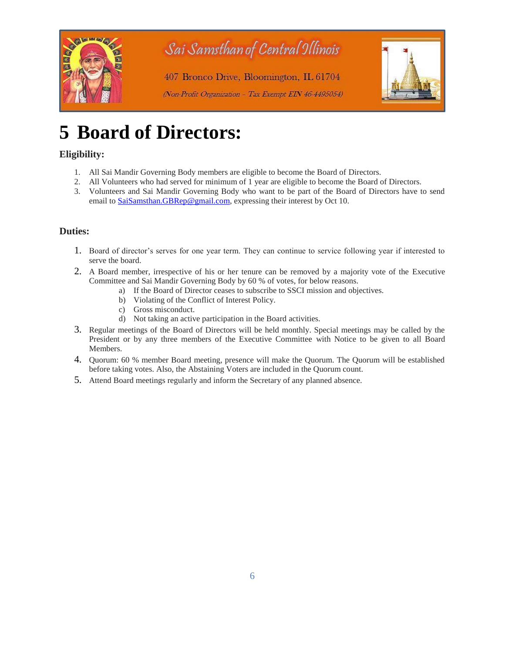

407 Bronco Drive, Bloomington, IL 61704 (Non-Profit Organization - Tax Exempt EIN 46-4495054)



# **5 Board of Directors:**

### **Eligibility:**

- 1. All Sai Mandir Governing Body members are eligible to become the Board of Directors.
- 2. All Volunteers who had served for minimum of 1 year are eligible to become the Board of Directors.
- 3. Volunteers and Sai Mandir Governing Body who want to be part of the Board of Directors have to send email to [SaiSamsthan.GBRep@gmail.com,](mailto:SaiSamsthan.GBRep@gmail.com) expressing their interest by Oct 10.

- 1. Board of director's serves for one year term. They can continue to service following year if interested to serve the board.
- 2. A Board member, irrespective of his or her tenure can be removed by a majority vote of the Executive Committee and Sai Mandir Governing Body by 60 % of votes, for below reasons.
	- a) If the Board of Director ceases to subscribe to SSCI mission and objectives.
	- b) Violating of the Conflict of Interest Policy.
	- c) Gross misconduct.
	- d) Not taking an active participation in the Board activities.
- 3. Regular meetings of the Board of Directors will be held monthly. Special meetings may be called by the President or by any three members of the Executive Committee with Notice to be given to all Board Members.
- 4. Quorum: 60 % member Board meeting, presence will make the Quorum. The Quorum will be established before taking votes. Also, the Abstaining Voters are included in the Quorum count.
- 5. Attend Board meetings regularly and inform the Secretary of any planned absence.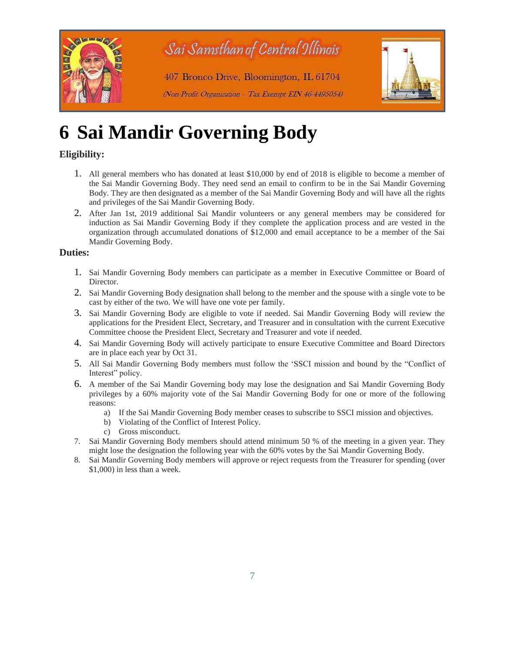

407 Bronco Drive, Bloomington, IL 61704 (Non-Profit Organization - Tax Exempt EIN 46-4495054)



# **6 Sai Mandir Governing Body**

### **Eligibility:**

- 1. All general members who has donated at least \$10,000 by end of 2018 is eligible to become a member of the Sai Mandir Governing Body. They need send an email to confirm to be in the Sai Mandir Governing Body. They are then designated as a member of the Sai Mandir Governing Body and will have all the rights and privileges of the Sai Mandir Governing Body.
- 2. After Jan 1st, 2019 additional Sai Mandir volunteers or any general members may be considered for induction as Sai Mandir Governing Body if they complete the application process and are vested in the organization through accumulated donations of \$12,000 and email acceptance to be a member of the Sai Mandir Governing Body.

- 1. Sai Mandir Governing Body members can participate as a member in Executive Committee or Board of Director.
- 2. Sai Mandir Governing Body designation shall belong to the member and the spouse with a single vote to be cast by either of the two. We will have one vote per family.
- 3. Sai Mandir Governing Body are eligible to vote if needed. Sai Mandir Governing Body will review the applications for the President Elect, Secretary, and Treasurer and in consultation with the current Executive Committee choose the President Elect, Secretary and Treasurer and vote if needed.
- 4. Sai Mandir Governing Body will actively participate to ensure Executive Committee and Board Directors are in place each year by Oct 31.
- 5. All Sai Mandir Governing Body members must follow the 'SSCI mission and bound by the "Conflict of Interest" policy.
- 6. A member of the Sai Mandir Governing body may lose the designation and Sai Mandir Governing Body privileges by a 60% majority vote of the Sai Mandir Governing Body for one or more of the following reasons:
	- a) If the Sai Mandir Governing Body member ceases to subscribe to SSCI mission and objectives.
	- b) Violating of the Conflict of Interest Policy.
	- c) Gross misconduct.
- 7. Sai Mandir Governing Body members should attend minimum 50 % of the meeting in a given year. They might lose the designation the following year with the 60% votes by the Sai Mandir Governing Body.
- 8. Sai Mandir Governing Body members will approve or reject requests from the Treasurer for spending (over \$1,000) in less than a week.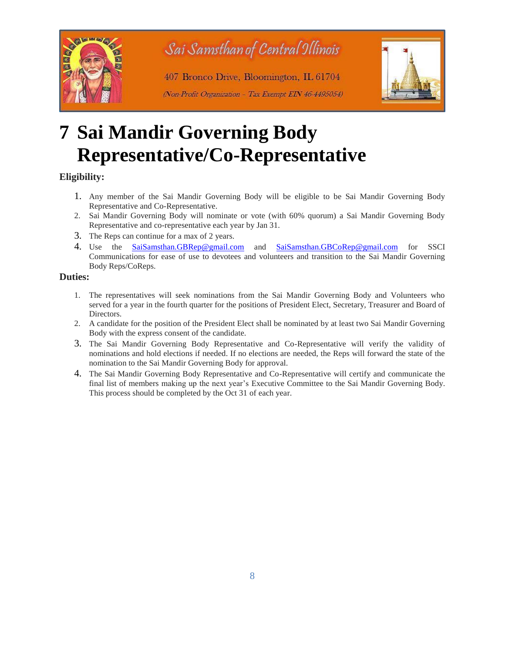

407 Bronco Drive, Bloomington, IL 61704 (Non-Profit Organization - Tax Exempt EIN 46-4495054)



# **7 Sai Mandir Governing Body Representative/Co-Representative**

### **Eligibility:**

- 1. Any member of the Sai Mandir Governing Body will be eligible to be Sai Mandir Governing Body Representative and Co-Representative.
- 2. Sai Mandir Governing Body will nominate or vote (with 60% quorum) a Sai Mandir Governing Body Representative and co-representative each year by Jan 31.
- 3. The Reps can continue for a max of 2 years.
- 4. Use the [SaiSamsthan.GBRep@gmail.com](mailto:SaiSamsthan.GBRep@gmail.com) and [SaiSamsthan.GBCoRep@gmail.com](mailto:SaiSamsthan.GBCoRep@gmail.com) for SSCI Communications for ease of use to devotees and volunteers and transition to the Sai Mandir Governing Body Reps/CoReps.

- 1. The representatives will seek nominations from the Sai Mandir Governing Body and Volunteers who served for a year in the fourth quarter for the positions of President Elect, Secretary, Treasurer and Board of Directors.
- 2. A candidate for the position of the President Elect shall be nominated by at least two Sai Mandir Governing Body with the express consent of the candidate.
- 3. The Sai Mandir Governing Body Representative and Co-Representative will verify the validity of nominations and hold elections if needed. If no elections are needed, the Reps will forward the state of the nomination to the Sai Mandir Governing Body for approval.
- 4. The Sai Mandir Governing Body Representative and Co-Representative will certify and communicate the final list of members making up the next year's Executive Committee to the Sai Mandir Governing Body. This process should be completed by the Oct 31 of each year.